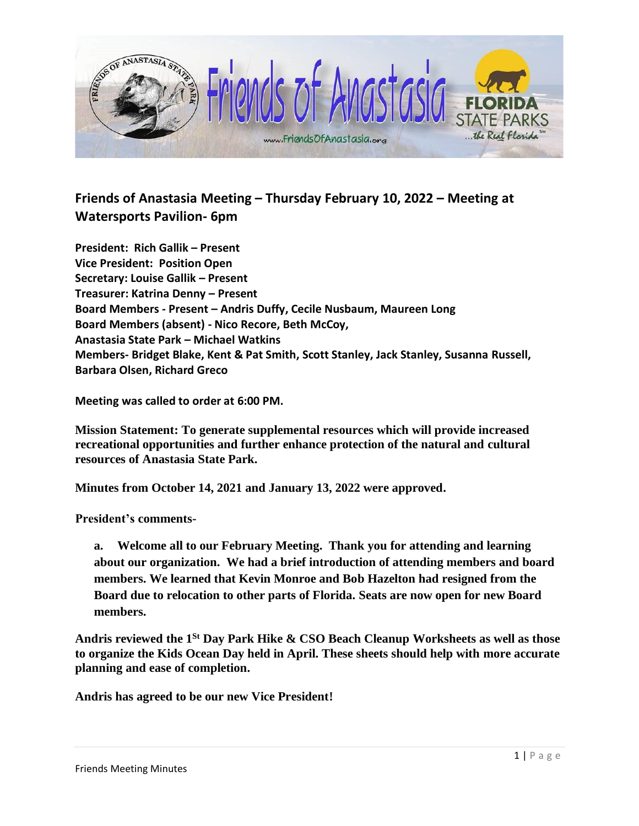

## **Friends of Anastasia Meeting – Thursday February 10, 2022 – Meeting at Watersports Pavilion- 6pm**

**President: Rich Gallik – Present Vice President: Position Open Secretary: Louise Gallik – Present Treasurer: Katrina Denny – Present Board Members - Present – Andris Duffy, Cecile Nusbaum, Maureen Long Board Members (absent) - Nico Recore, Beth McCoy, Anastasia State Park – Michael Watkins Members- Bridget Blake, Kent & Pat Smith, Scott Stanley, Jack Stanley, Susanna Russell, Barbara Olsen, Richard Greco**

**Meeting was called to order at 6:00 PM.** 

**Mission Statement: To generate supplemental resources which will provide increased recreational opportunities and further enhance protection of the natural and cultural resources of Anastasia State Park.**

**Minutes from October 14, 2021 and January 13, 2022 were approved.** 

**President's comments-**

**a. Welcome all to our February Meeting. Thank you for attending and learning about our organization. We had a brief introduction of attending members and board members. We learned that Kevin Monroe and Bob Hazelton had resigned from the Board due to relocation to other parts of Florida. Seats are now open for new Board members.**

**Andris reviewed the 1St Day Park Hike & CSO Beach Cleanup Worksheets as well as those to organize the Kids Ocean Day held in April. These sheets should help with more accurate planning and ease of completion.**

**Andris has agreed to be our new Vice President!**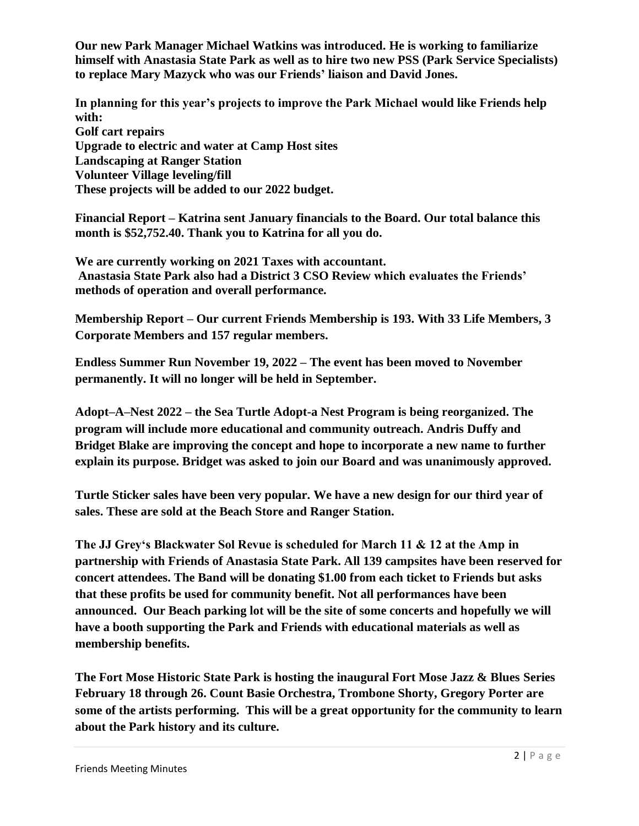**Our new Park Manager Michael Watkins was introduced. He is working to familiarize himself with Anastasia State Park as well as to hire two new PSS (Park Service Specialists) to replace Mary Mazyck who was our Friends' liaison and David Jones.**

**In planning for this year's projects to improve the Park Michael would like Friends help with: Golf cart repairs Upgrade to electric and water at Camp Host sites Landscaping at Ranger Station Volunteer Village leveling/fill These projects will be added to our 2022 budget.**

**Financial Report – Katrina sent January financials to the Board. Our total balance this month is \$52,752.40. Thank you to Katrina for all you do.**

**We are currently working on 2021 Taxes with accountant. Anastasia State Park also had a District 3 CSO Review which evaluates the Friends' methods of operation and overall performance.**

**Membership Report – Our current Friends Membership is 193. With 33 Life Members, 3 Corporate Members and 157 regular members.** 

**Endless Summer Run November 19, 2022 – The event has been moved to November permanently. It will no longer will be held in September.** 

**Adopt–A–Nest 2022 – the Sea Turtle Adopt-a Nest Program is being reorganized. The program will include more educational and community outreach. Andris Duffy and Bridget Blake are improving the concept and hope to incorporate a new name to further explain its purpose. Bridget was asked to join our Board and was unanimously approved.**

**Turtle Sticker sales have been very popular. We have a new design for our third year of sales. These are sold at the Beach Store and Ranger Station.**

**The JJ Grey's Blackwater Sol Revue is scheduled for March 11 & 12 at the Amp in partnership with Friends of Anastasia State Park. All 139 campsites have been reserved for concert attendees. The Band will be donating \$1.00 from each ticket to Friends but asks that these profits be used for community benefit. Not all performances have been announced. Our Beach parking lot will be the site of some concerts and hopefully we will have a booth supporting the Park and Friends with educational materials as well as membership benefits.**

**The Fort Mose Historic State Park is hosting the inaugural Fort Mose Jazz & Blues Series February 18 through 26. Count Basie Orchestra, Trombone Shorty, Gregory Porter are some of the artists performing. This will be a great opportunity for the community to learn about the Park history and its culture.**